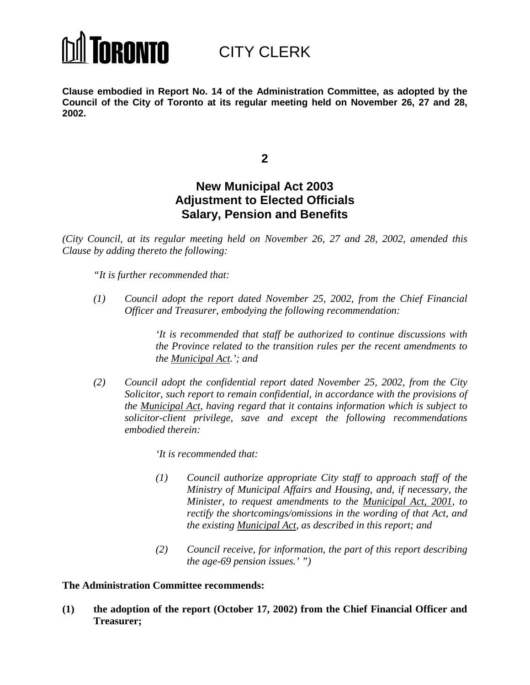

CITY CLERK

**Clause embodied in Report No. 14 of the Administration Committee, as adopted by the Council of the City of Toronto at its regular meeting held on November 26, 27 and 28, 2002.**

**2**

# **New Municipal Act 2003 Adjustment to Elected Officials Salary, Pension and Benefits**

*(City Council, at its regular meeting held on November 26, 27 and 28, 2002, amended this Clause by adding thereto the following:*

*"It is further recommended that:*

*(1) Council adopt the report dated November 25, 2002, from the Chief Financial Officer and Treasurer, embodying the following recommendation:*

> *'It is recommended that staff be authorized to continue discussions with the Province related to the transition rules per the recent amendments to the Municipal Act.'; and*

*(2) Council adopt the confidential report dated November 25, 2002, from the City Solicitor, such report to remain confidential, in accordance with the provisions of the Municipal Act, having regard that it contains information which is subject to solicitor-client privilege, save and except the following recommendations embodied therein:*

*'It is recommended that:*

- *(1) Council authorize appropriate City staff to approach staff of the Ministry of Municipal Affairs and Housing, and, if necessary, the Minister, to request amendments to the Municipal Act, 2001, to rectify the shortcomings/omissions in the wording of that Act, and the existing Municipal Act, as described in this report; and*
- *(2) Council receive, for information, the part of this report describing the age-69 pension issues.' ")*

### **The Administration Committee recommends:**

**(1) the adoption of the report (October 17, 2002) from the Chief Financial Officer and Treasurer;**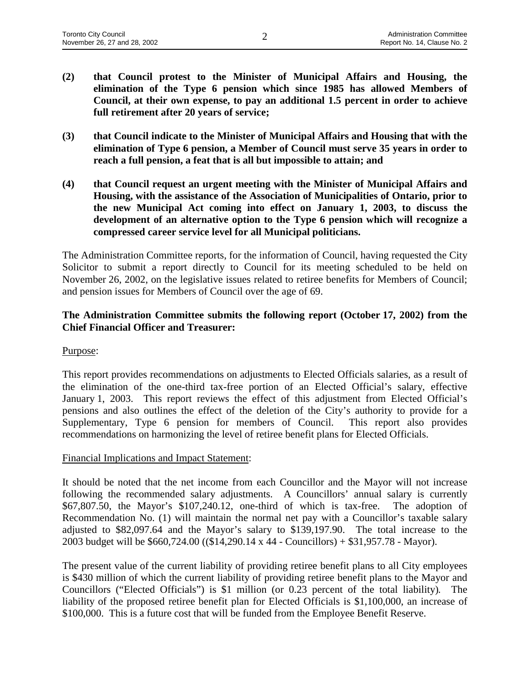- **(2) that Council protest to the Minister of Municipal Affairs and Housing, the elimination of the Type 6 pension which since 1985 has allowed Members of Council, at their own expense, to pay an additional 1.5 percent in order to achieve full retirement after 20 years of service;**
- **(3) that Council indicate to the Minister of Municipal Affairs and Housing that with the elimination of Type 6 pension, a Member of Council must serve 35 years in order to reach a full pension, a feat that is all but impossible to attain; and**
- **(4) that Council request an urgent meeting with the Minister of Municipal Affairs and Housing, with the assistance of the Association of Municipalities of Ontario, prior to the new Municipal Act coming into effect on January 1, 2003, to discuss the development of an alternative option to the Type 6 pension which will recognize a compressed career service level for all Municipal politicians.**

The Administration Committee reports, for the information of Council, having requested the City Solicitor to submit a report directly to Council for its meeting scheduled to be held on November 26, 2002, on the legislative issues related to retiree benefits for Members of Council; and pension issues for Members of Council over the age of 69.

# **The Administration Committee submits the following report (October 17, 2002) from the Chief Financial Officer and Treasurer:**

### Purpose:

This report provides recommendations on adjustments to Elected Officials salaries, as a result of the elimination of the one-third tax-free portion of an Elected Official's salary, effective January 1, 2003. This report reviews the effect of this adjustment from Elected Official's pensions and also outlines the effect of the deletion of the City's authority to provide for a Supplementary, Type 6 pension for members of Council. This report also provides recommendations on harmonizing the level of retiree benefit plans for Elected Officials.

### Financial Implications and Impact Statement:

It should be noted that the net income from each Councillor and the Mayor will not increase following the recommended salary adjustments. A Councillors' annual salary is currently \$67,807.50, the Mayor's \$107,240.12, one-third of which is tax-free. The adoption of Recommendation No. (1) will maintain the normal net pay with a Councillor's taxable salary adjusted to \$82,097.64 and the Mayor's salary to \$139,197.90. The total increase to the 2003 budget will be \$660,724.00 ((\$14,290.14 x 44 - Councillors) + \$31,957.78 - Mayor).

The present value of the current liability of providing retiree benefit plans to all City employees is \$430 million of which the current liability of providing retiree benefit plans to the Mayor and Councillors ("Elected Officials") is \$1 million (or 0.23 percent of the total liability)*.* The liability of the proposed retiree benefit plan for Elected Officials is \$1,100,000, an increase of \$100,000. This is a future cost that will be funded from the Employee Benefit Reserve.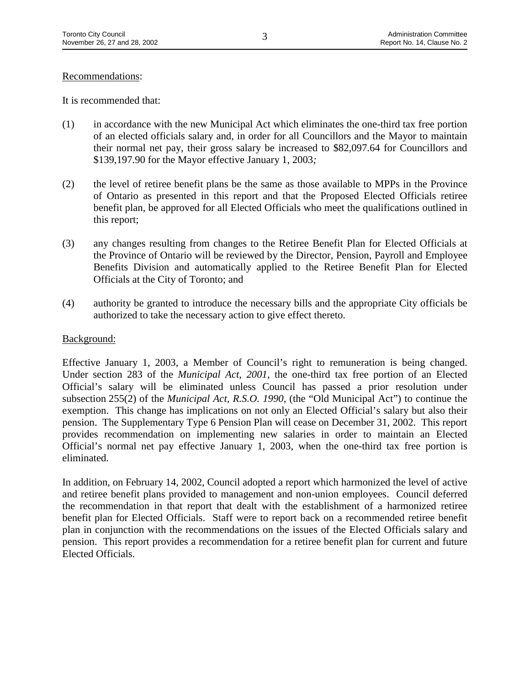### Recommendations:

It is recommended that:

- (1) in accordance with the new Municipal Act which eliminates the one-third tax free portion of an elected officials salary and, in order for all Councillors and the Mayor to maintain their normal net pay, their gross salary be increased to \$82,097.64 for Councillors and \$139,197.90 for the Mayor effective January 1, 2003*;*
- (2) the level of retiree benefit plans be the same as those available to MPPs in the Province of Ontario as presented in this report and that the Proposed Elected Officials retiree benefit plan, be approved for all Elected Officials who meet the qualifications outlined in this report;
- (3) any changes resulting from changes to the Retiree Benefit Plan for Elected Officials at the Province of Ontario will be reviewed by the Director, Pension, Payroll and Employee Benefits Division and automatically applied to the Retiree Benefit Plan for Elected Officials at the City of Toronto; and
- (4) authority be granted to introduce the necessary bills and the appropriate City officials be authorized to take the necessary action to give effect thereto.

#### Background:

Effective January 1, 2003, a Member of Council's right to remuneration is being changed. Under section 283 of the *Municipal Act*, *2001,* the one-third tax free portion of an Elected Official's salary will be eliminated unless Council has passed a prior resolution under subsection 255(2) of the *Municipal Act, R.S.O. 1990*, (the "Old Municipal Act") to continue the exemption. This change has implications on not only an Elected Official's salary but also their pension. The Supplementary Type 6 Pension Plan will cease on December 31, 2002. This report provides recommendation on implementing new salaries in order to maintain an Elected Official's normal net pay effective January 1, 2003, when the one-third tax free portion is eliminated.

In addition, on February 14, 2002, Council adopted a report which harmonized the level of active and retiree benefit plans provided to management and non-union employees. Council deferred the recommendation in that report that dealt with the establishment of a harmonized retiree benefit plan for Elected Officials. Staff were to report back on a recommended retiree benefit plan in conjunction with the recommendations on the issues of the Elected Officials salary and pension. This report provides a recommendation for a retiree benefit plan for current and future Elected Officials.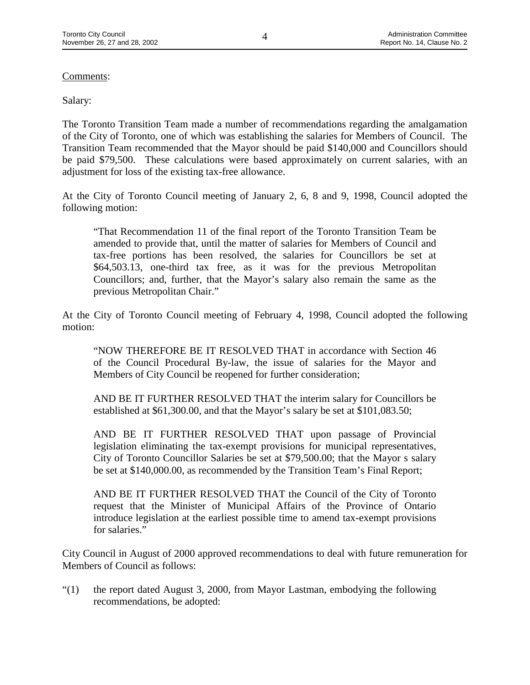# Comments:

# Salary:

The Toronto Transition Team made a number of recommendations regarding the amalgamation of the City of Toronto, one of which was establishing the salaries for Members of Council. The Transition Team recommended that the Mayor should be paid \$140,000 and Councillors should be paid \$79,500. These calculations were based approximately on current salaries, with an adjustment for loss of the existing tax-free allowance.

At the City of Toronto Council meeting of January 2, 6, 8 and 9, 1998, Council adopted the following motion:

"That Recommendation 11 of the final report of the Toronto Transition Team be amended to provide that, until the matter of salaries for Members of Council and tax-free portions has been resolved, the salaries for Councillors be set at \$64,503.13, one-third tax free, as it was for the previous Metropolitan Councillors; and, further, that the Mayor's salary also remain the same as the previous Metropolitan Chair."

At the City of Toronto Council meeting of February 4, 1998, Council adopted the following motion:

"NOW THEREFORE BE IT RESOLVED THAT in accordance with Section 46 of the Council Procedural By-law, the issue of salaries for the Mayor and Members of City Council be reopened for further consideration;

AND BE IT FURTHER RESOLVED THAT the interim salary for Councillors be established at \$61,300.00, and that the Mayor's salary be set at \$101,083.50;

AND BE IT FURTHER RESOLVED THAT upon passage of Provincial legislation eliminating the tax-exempt provisions for municipal representatives, City of Toronto Councillor Salaries be set at \$79,500.00; that the Mayor s salary be set at \$140,000.00, as recommended by the Transition Team's Final Report;

AND BE IT FURTHER RESOLVED THAT the Council of the City of Toronto request that the Minister of Municipal Affairs of the Province of Ontario introduce legislation at the earliest possible time to amend tax-exempt provisions for salaries."

City Council in August of 2000 approved recommendations to deal with future remuneration for Members of Council as follows:

"(1) the report dated August 3, 2000, from Mayor Lastman, embodying the following recommendations, be adopted: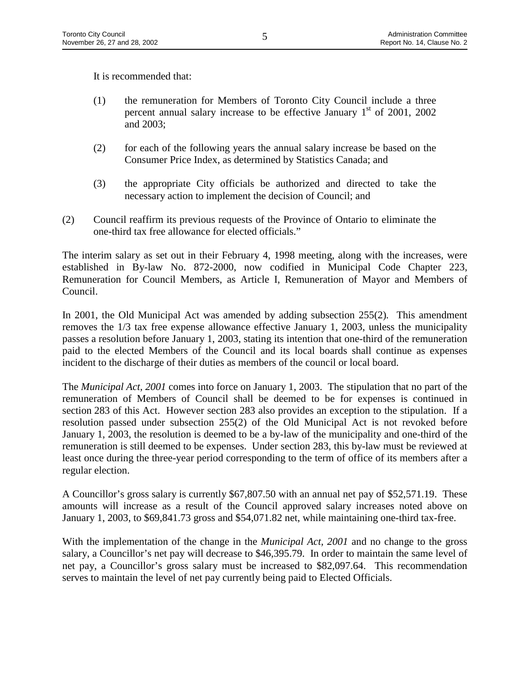It is recommended that:

- (1) the remuneration for Members of Toronto City Council include a three percent annual salary increase to be effective January  $1<sup>st</sup>$  of 2001, 2002 and 2003;
- (2) for each of the following years the annual salary increase be based on the Consumer Price Index, as determined by Statistics Canada; and
- (3) the appropriate City officials be authorized and directed to take the necessary action to implement the decision of Council; and
- (2) Council reaffirm its previous requests of the Province of Ontario to eliminate the one-third tax free allowance for elected officials."

The interim salary as set out in their February 4, 1998 meeting, along with the increases, were established in By-law No. 872-2000, now codified in Municipal Code Chapter 223, Remuneration for Council Members, as Article I, Remuneration of Mayor and Members of Council.

In 2001, the Old Municipal Act was amended by adding subsection 255(2)*.* This amendment removes the 1/3 tax free expense allowance effective January 1, 2003, unless the municipality passes a resolution before January 1, 2003, stating its intention that one-third of the remuneration paid to the elected Members of the Council and its local boards shall continue as expenses incident to the discharge of their duties as members of the council or local board.

The *Municipal Act, 2001* comes into force on January 1, 2003. The stipulation that no part of the remuneration of Members of Council shall be deemed to be for expenses is continued in section 283 of this Act. However section 283 also provides an exception to the stipulation. If a resolution passed under subsection 255(2) of the Old Municipal Act is not revoked before January 1, 2003, the resolution is deemed to be a by-law of the municipality and one-third of the remuneration is still deemed to be expenses. Under section 283, this by-law must be reviewed at least once during the three-year period corresponding to the term of office of its members after a regular election.

A Councillor's gross salary is currently \$67,807.50 with an annual net pay of \$52,571.19. These amounts will increase as a result of the Council approved salary increases noted above on January 1, 2003, to \$69,841.73 gross and \$54,071.82 net, while maintaining one-third tax-free.

With the implementation of the change in the *Municipal Act, 2001* and no change to the gross salary, a Councillor's net pay will decrease to \$46,395.79. In order to maintain the same level of net pay, a Councillor's gross salary must be increased to \$82,097.64. This recommendation serves to maintain the level of net pay currently being paid to Elected Officials.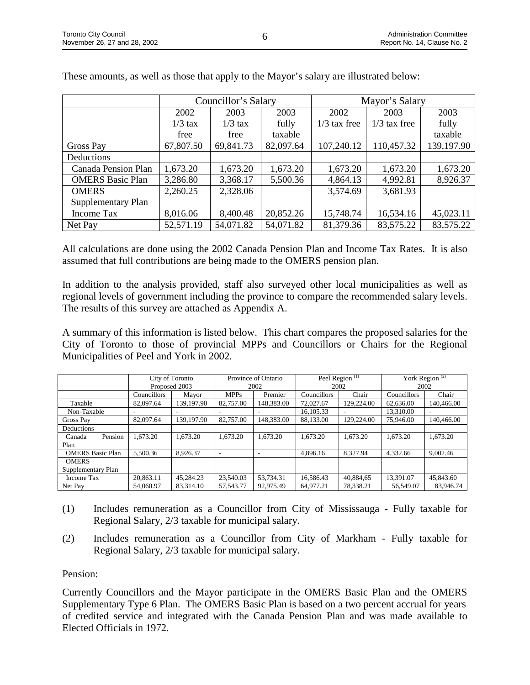|                         |           | Councillor's Salary |           | Mayor's Salary |                |            |  |
|-------------------------|-----------|---------------------|-----------|----------------|----------------|------------|--|
|                         | 2002      | 2003                | 2003      | 2002           | 2003           | 2003       |  |
|                         | $1/3$ tax | $1/3$ tax           | fully     | $1/3$ tax free | $1/3$ tax free | fully      |  |
|                         | free      | free                | taxable   |                |                | taxable    |  |
| Gross Pay               | 67,807.50 | 69,841.73           | 82,097.64 | 107,240.12     | 110,457.32     | 139,197.90 |  |
| Deductions              |           |                     |           |                |                |            |  |
| Canada Pension Plan     | 1,673.20  | 1,673.20            | 1,673.20  | 1,673.20       | 1,673.20       | 1,673.20   |  |
| <b>OMERS Basic Plan</b> | 3,286.80  | 3,368.17            | 5,500.36  | 4,864.13       | 4,992.81       | 8,926.37   |  |
| <b>OMERS</b>            | 2,260.25  | 2,328.06            |           | 3,574.69       | 3,681.93       |            |  |
| Supplementary Plan      |           |                     |           |                |                |            |  |
| Income Tax              | 8,016.06  | 8,400.48            | 20,852.26 | 15,748.74      | 16,534.16      | 45,023.11  |  |
| Net Pay                 | 52,571.19 | 54,071.82           | 54,071.82 | 81,379.36      | 83,575.22      | 83,575.22  |  |

These amounts, as well as those that apply to the Mayor's salary are illustrated below:

All calculations are done using the 2002 Canada Pension Plan and Income Tax Rates. It is also assumed that full contributions are being made to the OMERS pension plan.

In addition to the analysis provided, staff also surveyed other local municipalities as well as regional levels of government including the province to compare the recommended salary levels. The results of this survey are attached as Appendix A.

A summary of this information is listed below. This chart compares the proposed salaries for the City of Toronto to those of provincial MPPs and Councillors or Chairs for the Regional Municipalities of Peel and York in 2002*.*

|                         | City of Toronto |            | Province of Ontario |            | Peel Region $(1)$  |            | York Region <sup>(2)</sup> |            |
|-------------------------|-----------------|------------|---------------------|------------|--------------------|------------|----------------------------|------------|
|                         | Proposed 2003   |            | 2002                |            | 2002               |            | 2002                       |            |
|                         | Councillors     | Mayor      | <b>MPPs</b>         | Premier    | <b>Councillors</b> | Chair      | Councillors                | Chair      |
| Taxable                 | 82,097.64       | 139,197.90 | 82,757.00           | 148,383.00 | 72,027.67          | 129,224.00 | 62,636.00                  | 140,466.00 |
| Non-Taxable             |                 |            |                     |            | 16.105.33          |            | 13.310.00                  |            |
| Gross Pay               | 82,097.64       | 139,197.90 | 82,757.00           | 148,383.00 | 88.133.00          | 129,224.00 | 75,946.00                  | 140,466.00 |
| Deductions              |                 |            |                     |            |                    |            |                            |            |
| Pension<br>Canada       | 1.673.20        | 1,673.20   | 1,673.20            | 1,673.20   | 1,673.20           | 1,673.20   | 1.673.20                   | 1,673.20   |
| Plan                    |                 |            |                     |            |                    |            |                            |            |
| <b>OMERS Basic Plan</b> | 5.500.36        | 8,926.37   | -                   | ۰          | 4,896.16           | 8,327.94   | 4,332.66                   | 9,002.46   |
| <b>OMERS</b>            |                 |            |                     |            |                    |            |                            |            |
| Supplementary Plan      |                 |            |                     |            |                    |            |                            |            |
| Income Tax              | 20.863.11       | 45.284.23  | 23.540.03           | 53,734.31  | 16.586.43          | 40.884.65  | 13.391.07                  | 45,843.60  |
| Net Pay                 | 54,060.97       | 83.314.10  | 57.543.77           | 92.975.49  | 64,977.21          | 78.338.21  | 56,549.07                  | 83,946.74  |

- (1) Includes remuneration as a Councillor from City of Mississauga Fully taxable for Regional Salary, 2/3 taxable for municipal salary.
- (2) Includes remuneration as a Councillor from City of Markham Fully taxable for Regional Salary, 2/3 taxable for municipal salary.

Pension:

Currently Councillors and the Mayor participate in the OMERS Basic Plan and the OMERS Supplementary Type 6 Plan. The OMERS Basic Plan is based on a two percent accrual for years of credited service and integrated with the Canada Pension Plan and was made available to Elected Officials in 1972.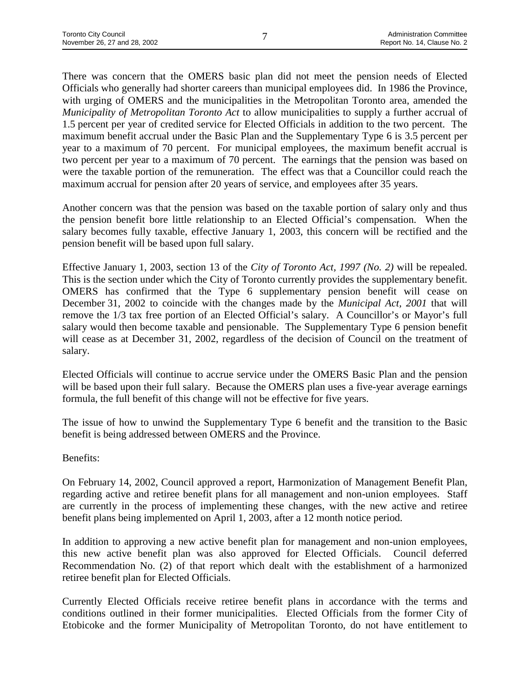There was concern that the OMERS basic plan did not meet the pension needs of Elected Officials who generally had shorter careers than municipal employees did. In 1986 the Province, with urging of OMERS and the municipalities in the Metropolitan Toronto area, amended the *Municipality of Metropolitan Toronto Act* to allow municipalities to supply a further accrual of 1.5 percent per year of credited service for Elected Officials in addition to the two percent. The maximum benefit accrual under the Basic Plan and the Supplementary Type 6 is 3.5 percent per year to a maximum of 70 percent. For municipal employees, the maximum benefit accrual is two percent per year to a maximum of 70 percent. The earnings that the pension was based on were the taxable portion of the remuneration. The effect was that a Councillor could reach the maximum accrual for pension after 20 years of service, and employees after 35 years.

Another concern was that the pension was based on the taxable portion of salary only and thus the pension benefit bore little relationship to an Elected Official's compensation. When the salary becomes fully taxable, effective January 1, 2003, this concern will be rectified and the pension benefit will be based upon full salary.

Effective January 1, 2003, section 13 of the *City of Toronto Act, 1997 (No. 2)* will be repealed. This is the section under which the City of Toronto currently provides the supplementary benefit. OMERS has confirmed that the Type 6 supplementary pension benefit will cease on December 31, 2002 to coincide with the changes made by the *Municipal Act, 2001* that will remove the 1/3 tax free portion of an Elected Official's salary. A Councillor's or Mayor's full salary would then become taxable and pensionable. The Supplementary Type 6 pension benefit will cease as at December 31, 2002, regardless of the decision of Council on the treatment of salary.

Elected Officials will continue to accrue service under the OMERS Basic Plan and the pension will be based upon their full salary. Because the OMERS plan uses a five-year average earnings formula, the full benefit of this change will not be effective for five years.

The issue of how to unwind the Supplementary Type 6 benefit and the transition to the Basic benefit is being addressed between OMERS and the Province.

Benefits:

On February 14, 2002, Council approved a report, Harmonization of Management Benefit Plan, regarding active and retiree benefit plans for all management and non-union employees. Staff are currently in the process of implementing these changes, with the new active and retiree benefit plans being implemented on April 1, 2003, after a 12 month notice period.

In addition to approving a new active benefit plan for management and non-union employees, this new active benefit plan was also approved for Elected Officials. Council deferred Recommendation No. (2) of that report which dealt with the establishment of a harmonized retiree benefit plan for Elected Officials.

Currently Elected Officials receive retiree benefit plans in accordance with the terms and conditions outlined in their former municipalities. Elected Officials from the former City of Etobicoke and the former Municipality of Metropolitan Toronto, do not have entitlement to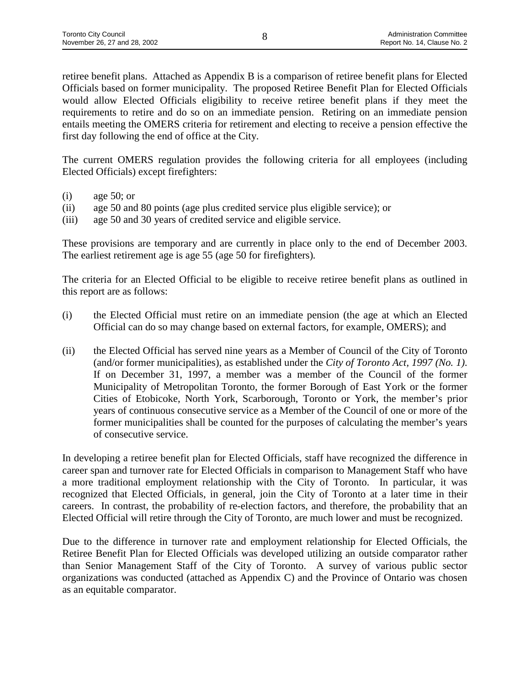retiree benefit plans. Attached as Appendix B is a comparison of retiree benefit plans for Elected Officials based on former municipality. The proposed Retiree Benefit Plan for Elected Officials would allow Elected Officials eligibility to receive retiree benefit plans if they meet the requirements to retire and do so on an immediate pension. Retiring on an immediate pension entails meeting the OMERS criteria for retirement and electing to receive a pension effective the first day following the end of office at the City.

The current OMERS regulation provides the following criteria for all employees (including Elected Officials) except firefighters:

- (i) age 50; or
- (ii) age 50 and 80 points (age plus credited service plus eligible service); or
- (iii) age 50 and 30 years of credited service and eligible service.

These provisions are temporary and are currently in place only to the end of December 2003. The earliest retirement age is age 55 (age 50 for firefighters)*.*

The criteria for an Elected Official to be eligible to receive retiree benefit plans as outlined in this report are as follows:

- (i) the Elected Official must retire on an immediate pension (the age at which an Elected Official can do so may change based on external factors, for example, OMERS); and
- (ii) the Elected Official has served nine years as a Member of Council of the City of Toronto (and/or former municipalities), as established under the *City of Toronto Act, 1997 (No. 1)*. If on December 31, 1997, a member was a member of the Council of the former Municipality of Metropolitan Toronto, the former Borough of East York or the former Cities of Etobicoke, North York, Scarborough, Toronto or York, the member's prior years of continuous consecutive service as a Member of the Council of one or more of the former municipalities shall be counted for the purposes of calculating the member's years of consecutive service.

In developing a retiree benefit plan for Elected Officials, staff have recognized the difference in career span and turnover rate for Elected Officials in comparison to Management Staff who have a more traditional employment relationship with the City of Toronto. In particular, it was recognized that Elected Officials, in general, join the City of Toronto at a later time in their careers. In contrast, the probability of re-election factors, and therefore, the probability that an Elected Official will retire through the City of Toronto, are much lower and must be recognized.

Due to the difference in turnover rate and employment relationship for Elected Officials, the Retiree Benefit Plan for Elected Officials was developed utilizing an outside comparator rather than Senior Management Staff of the City of Toronto. A survey of various public sector organizations was conducted (attached as Appendix C) and the Province of Ontario was chosen as an equitable comparator.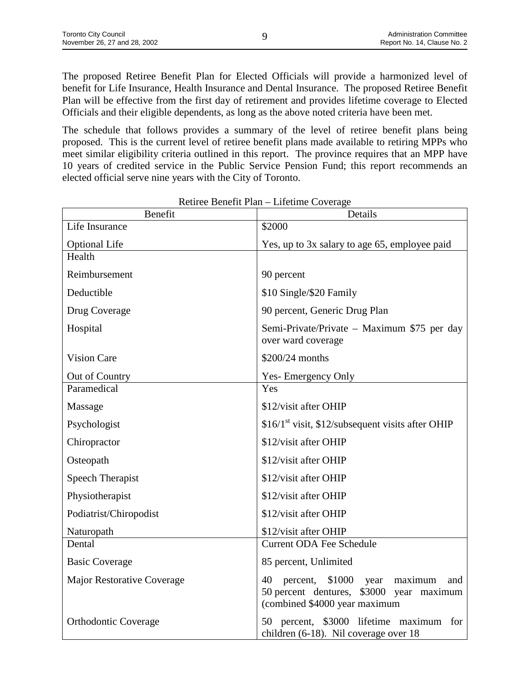The proposed Retiree Benefit Plan for Elected Officials will provide a harmonized level of benefit for Life Insurance, Health Insurance and Dental Insurance. The proposed Retiree Benefit Plan will be effective from the first day of retirement and provides lifetime coverage to Elected Officials and their eligible dependents, as long as the above noted criteria have been met.

The schedule that follows provides a summary of the level of retiree benefit plans being proposed. This is the current level of retiree benefit plans made available to retiring MPPs who meet similar eligibility criteria outlined in this report. The province requires that an MPP have 10 years of credited service in the Public Service Pension Fund; this report recommends an elected official serve nine years with the City of Toronto.

| Benefit                     | Details                                                                                                                         |  |  |  |  |
|-----------------------------|---------------------------------------------------------------------------------------------------------------------------------|--|--|--|--|
| Life Insurance              | \$2000                                                                                                                          |  |  |  |  |
| <b>Optional Life</b>        | Yes, up to 3x salary to age 65, employee paid                                                                                   |  |  |  |  |
| Health                      |                                                                                                                                 |  |  |  |  |
| Reimbursement               | 90 percent                                                                                                                      |  |  |  |  |
| Deductible                  | \$10 Single/\$20 Family                                                                                                         |  |  |  |  |
| Drug Coverage               | 90 percent, Generic Drug Plan                                                                                                   |  |  |  |  |
| Hospital                    | Semi-Private/Private – Maximum \$75 per day<br>over ward coverage                                                               |  |  |  |  |
| <b>Vision Care</b>          | \$200/24 months                                                                                                                 |  |  |  |  |
| Out of Country              | <b>Yes-Emergency Only</b>                                                                                                       |  |  |  |  |
| Paramedical                 | Yes                                                                                                                             |  |  |  |  |
| Massage                     | \$12/visit after OHIP                                                                                                           |  |  |  |  |
| Psychologist                | $$16/1st$ visit, \$12/subsequent visits after OHIP                                                                              |  |  |  |  |
| Chiropractor                | \$12/visit after OHIP                                                                                                           |  |  |  |  |
| Osteopath                   | \$12/visit after OHIP                                                                                                           |  |  |  |  |
| <b>Speech Therapist</b>     | \$12/visit after OHIP                                                                                                           |  |  |  |  |
| Physiotherapist             | \$12/visit after OHIP                                                                                                           |  |  |  |  |
| Podiatrist/Chiropodist      | \$12/visit after OHIP                                                                                                           |  |  |  |  |
| Naturopath                  | \$12/visit after OHIP                                                                                                           |  |  |  |  |
| Dental                      | <b>Current ODA Fee Schedule</b>                                                                                                 |  |  |  |  |
| <b>Basic Coverage</b>       | 85 percent, Unlimited                                                                                                           |  |  |  |  |
| Major Restorative Coverage  | 40<br>\$1000<br>percent,<br>maximum<br>year<br>and<br>50 percent dentures, \$3000 year maximum<br>(combined \$4000 year maximum |  |  |  |  |
| <b>Orthodontic Coverage</b> | 50 percent, \$3000 lifetime maximum for<br>children (6-18). Nil coverage over 18                                                |  |  |  |  |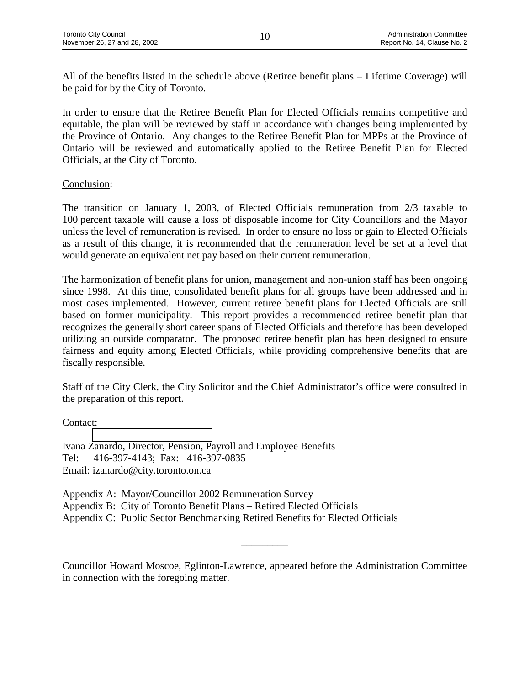All of the benefits listed in the schedule above (Retiree benefit plans – Lifetime Coverage) will be paid for by the City of Toronto.

In order to ensure that the Retiree Benefit Plan for Elected Officials remains competitive and equitable, the plan will be reviewed by staff in accordance with changes being implemented by the Province of Ontario. Any changes to the Retiree Benefit Plan for MPPs at the Province of Ontario will be reviewed and automatically applied to the Retiree Benefit Plan for Elected Officials, at the City of Toronto.

# Conclusion:

The transition on January 1, 2003, of Elected Officials remuneration from 2/3 taxable to 100 percent taxable will cause a loss of disposable income for City Councillors and the Mayor unless the level of remuneration is revised. In order to ensure no loss or gain to Elected Officials as a result of this change, it is recommended that the remuneration level be set at a level that would generate an equivalent net pay based on their current remuneration.

The harmonization of benefit plans for union, management and non-union staff has been ongoing since 1998. At this time, consolidated benefit plans for all groups have been addressed and in most cases implemented. However, current retiree benefit plans for Elected Officials are still based on former municipality. This report provides a recommended retiree benefit plan that recognizes the generally short career spans of Elected Officials and therefore has been developed utilizing an outside comparator. The proposed retiree benefit plan has been designed to ensure fairness and equity among Elected Officials, while providing comprehensive benefits that are fiscally responsible.

Staff of the City Clerk, the City Solicitor and the Chief Administrator's office were consulted in the preparation of this report.

# Contact:

Ivana Zanardo, Director, Pension, Payroll and Employee Benefits Tel: 416-397-4143; Fax: 416-397-0835 Email: izanardo@city.toronto.on.ca

Appendix A: Mayor/Councillor 2002 Remuneration Survey Appendix B: City of Toronto Benefit Plans – Retired Elected Officials Appendix C: Public Sector Benchmarking Retired Benefits for Elected Officials

Councillor Howard Moscoe, Eglinton-Lawrence, appeared before the Administration Committee in connection with the foregoing matter.

\_\_\_\_\_\_\_\_\_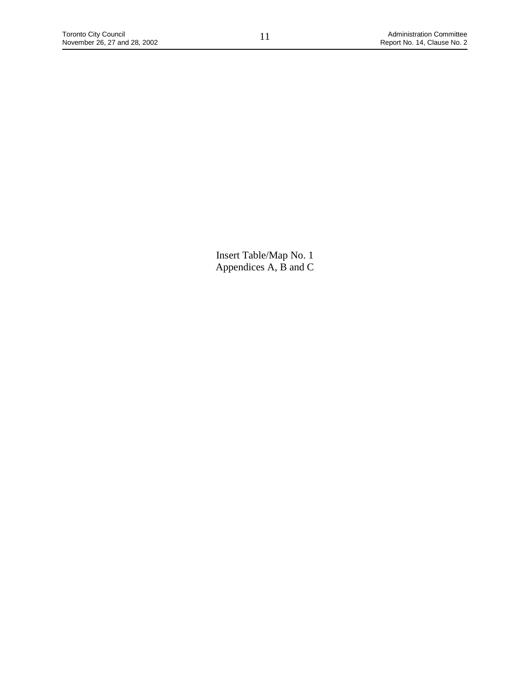Insert Table/Map No. 1 Appendices A, B and C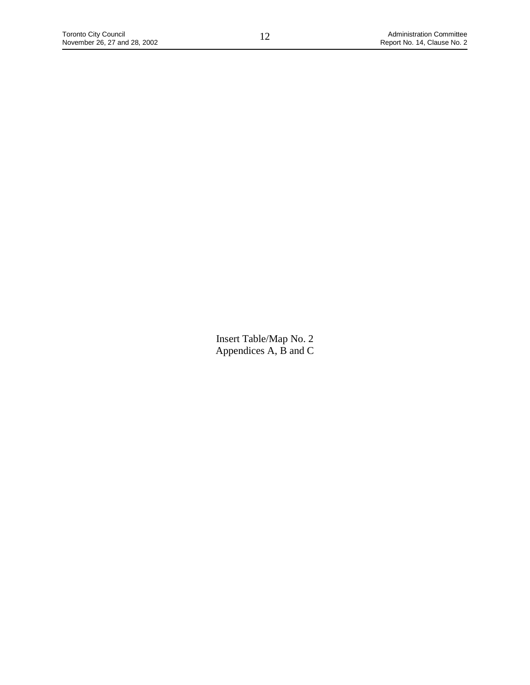Insert Table/Map No. 2 Appendices A, B and C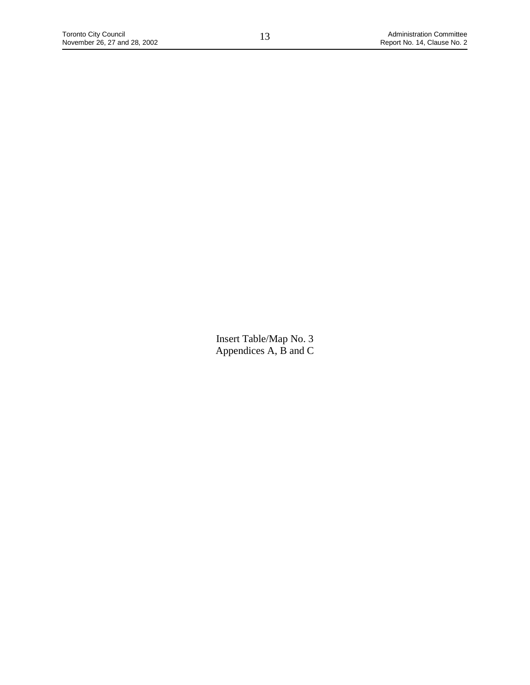Insert Table/Map No. 3 Appendices A, B and C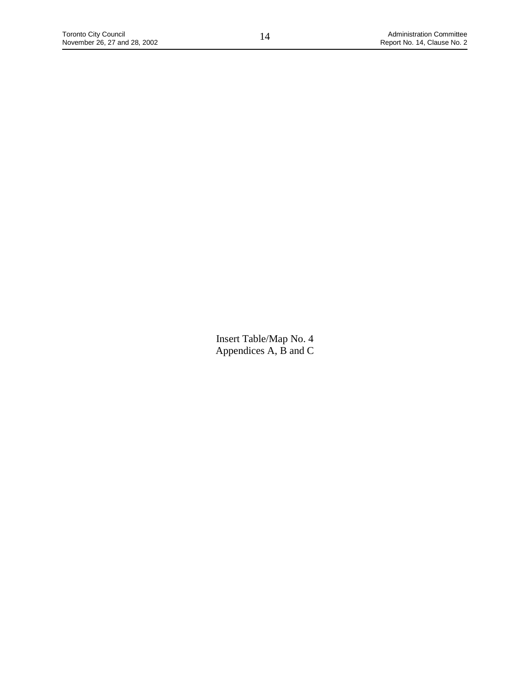Insert Table/Map No. 4 Appendices A, B and C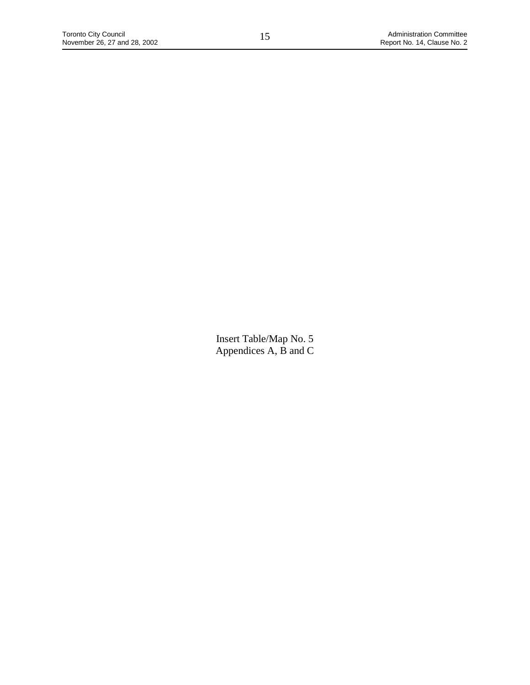Insert Table/Map No. 5 Appendices A, B and C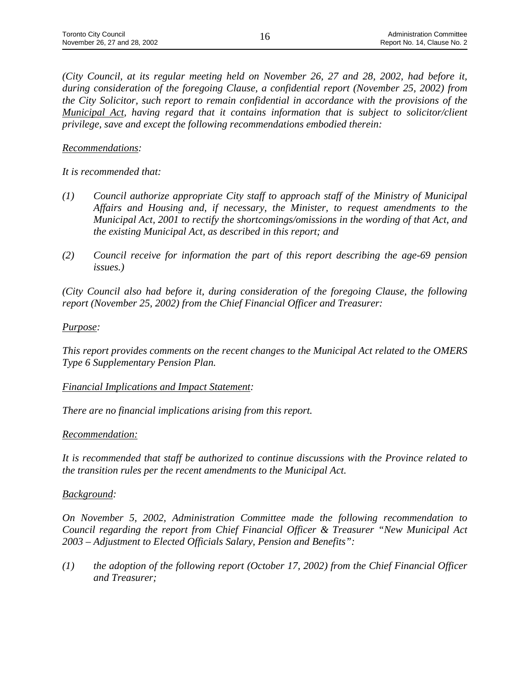*(City Council, at its regular meeting held on November 26, 27 and 28, 2002, had before it, during consideration of the foregoing Clause, a confidential report (November 25, 2002) from the City Solicitor, such report to remain confidential in accordance with the provisions of the Municipal Act, having regard that it contains information that is subject to solicitor/client privilege, save and except the following recommendations embodied therein:*

### *Recommendations:*

*It is recommended that:*

- *(1) Council authorize appropriate City staff to approach staff of the Ministry of Municipal Affairs and Housing and, if necessary, the Minister, to request amendments to the Municipal Act, 2001 to rectify the shortcomings/omissions in the wording of that Act, and the existing Municipal Act, as described in this report; and*
- *(2) Council receive for information the part of this report describing the age-69 pension issues.)*

*(City Council also had before it, during consideration of the foregoing Clause, the following report (November 25, 2002) from the Chief Financial Officer and Treasurer:*

# *Purpose:*

*This report provides comments on the recent changes to the Municipal Act related to the OMERS Type 6 Supplementary Pension Plan.*

### *Financial Implications and Impact Statement:*

*There are no financial implications arising from this report.*

### *Recommendation:*

*It is recommended that staff be authorized to continue discussions with the Province related to the transition rules per the recent amendments to the Municipal Act.*

### *Background:*

*On November 5, 2002, Administration Committee made the following recommendation to Council regarding the report from Chief Financial Officer & Treasurer "New Municipal Act 2003 – Adjustment to Elected Officials Salary, Pension and Benefits":*

*(1) the adoption of the following report (October 17, 2002) from the Chief Financial Officer and Treasurer;*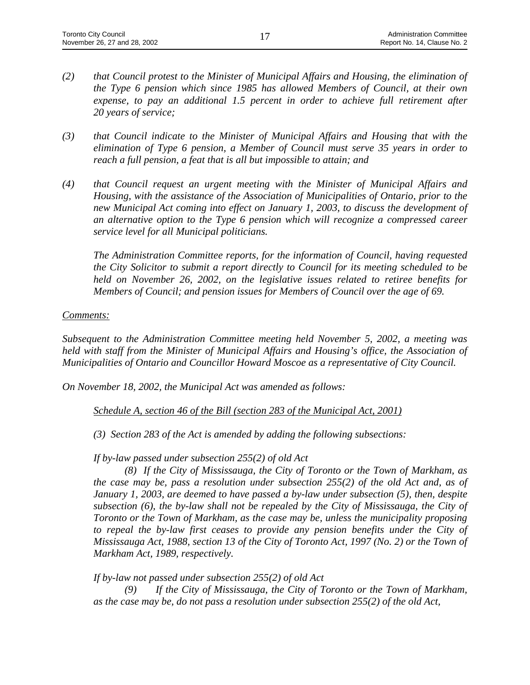- *(2) that Council protest to the Minister of Municipal Affairs and Housing, the elimination of the Type 6 pension which since 1985 has allowed Members of Council, at their own expense, to pay an additional 1.5 percent in order to achieve full retirement after 20 years of service;*
- *(3) that Council indicate to the Minister of Municipal Affairs and Housing that with the elimination of Type 6 pension, a Member of Council must serve 35 years in order to reach a full pension, a feat that is all but impossible to attain; and*
- *(4) that Council request an urgent meeting with the Minister of Municipal Affairs and Housing, with the assistance of the Association of Municipalities of Ontario, prior to the new Municipal Act coming into effect on January 1, 2003, to discuss the development of an alternative option to the Type 6 pension which will recognize a compressed career service level for all Municipal politicians.*

*The Administration Committee reports, for the information of Council, having requested the City Solicitor to submit a report directly to Council for its meeting scheduled to be held on November 26, 2002, on the legislative issues related to retiree benefits for Members of Council; and pension issues for Members of Council over the age of 69.*

### *Comments:*

*Subsequent to the Administration Committee meeting held November 5, 2002, a meeting was held with staff from the Minister of Municipal Affairs and Housing's office, the Association of Municipalities of Ontario and Councillor Howard Moscoe as a representative of City Council.*

*On November 18, 2002, the Municipal Act was amended as follows:*

*Schedule A, section 46 of the Bill (section 283 of the Municipal Act, 2001)*

*(3) Section 283 of the Act is amended by adding the following subsections:*

*If by-law passed under subsection 255(2) of old Act*

*(8) If the City of Mississauga, the City of Toronto or the Town of Markham, as the case may be, pass a resolution under subsection 255(2) of the old Act and, as of January 1, 2003, are deemed to have passed a by-law under subsection (5), then, despite subsection (6), the by-law shall not be repealed by the City of Mississauga, the City of Toronto or the Town of Markham, as the case may be, unless the municipality proposing to repeal the by-law first ceases to provide any pension benefits under the City of Mississauga Act, 1988, section 13 of the City of Toronto Act, 1997 (No. 2) or the Town of Markham Act, 1989, respectively.*

*If by-law not passed under subsection 255(2) of old Act*

*(9) If the City of Mississauga, the City of Toronto or the Town of Markham, as the case may be, do not pass a resolution under subsection 255(2) of the old Act,*